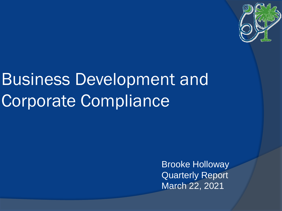

# Business Development and Corporate Compliance

Brooke Holloway Quarterly Report March 22, 2021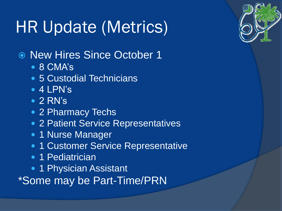# HR Update (Metrics)

- New Hires Since October 1
	- 8 CMA's
	- 5 Custodial Technicians
	- 4 LPN's
	- 2 RN's
	- 2 Pharmacy Techs
	- 2 Patient Service Representatives
	- 1 Nurse Manager
	- 1 Customer Service Representative
	- 1 Pediatrician
	- 1 Physician Assistant
- \*Some may be Part-Time/PRN

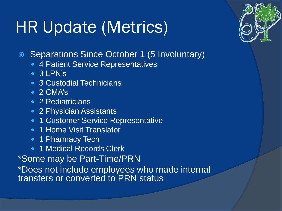## HR Update (Metrics)



- Separations Since October 1 (5 Involuntary)
	- 4 Patient Service Representatives
	- 3 LPN's
	- **3 Custodial Technicians**
	- 2 CMA's
	- 2 Pediatricians
	- 2 Physician Assistants
	- **1 Customer Service Representative**
	- 1 Home Visit Translator
	- 1 Pharmacy Tech
	- 1 Medical Records Clerk

\*Some may be Part-Time/PRN \*Does not include employees who made internal transfers or converted to PRN status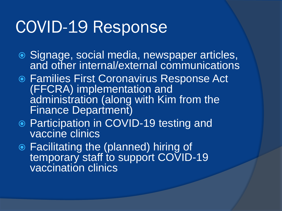### COVID-19 Response

- Signage, social media, newspaper articles, and other internal/external communications
- Families First Coronavirus Response Act (FFCRA) implementation and administration (along with Kim from the Finance Department)
- Participation in COVID-19 testing and vaccine clinics
- Facilitating the (planned) hiring of temporary staff to support COVID-19 vaccination clinics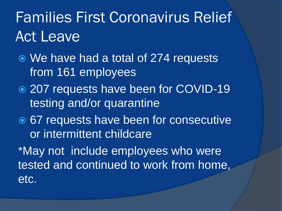## Families First Coronavirus Relief Act Leave

- We have had a total of 274 requests from 161 employees
- 207 requests have been for COVID-19 testing and/or quarantine
- **◎ 67 requests have been for consecutive** or intermittent childcare

\*May not include employees who were tested and continued to work from home, etc.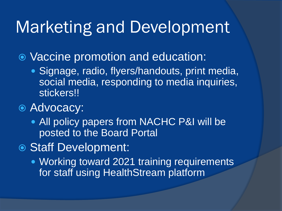#### Marketing and Development

Vaccine promotion and education:

- Signage, radio, flyers/handouts, print media, social media, responding to media inquiries, stickers!!
- Advocacy:
	- All policy papers from NACHC P&I will be posted to the Board Portal
- Staff Development:
	- Working toward 2021 training requirements for staff using HealthStream platform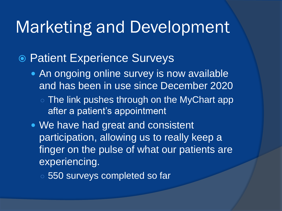#### Marketing and Development

#### ● Patient Experience Surveys

- An ongoing online survey is now available and has been in use since December 2020
	- The link pushes through on the MyChart app after a patient's appointment
- We have had great and consistent participation, allowing us to really keep a finger on the pulse of what our patients are experiencing.
	- 550 surveys completed so far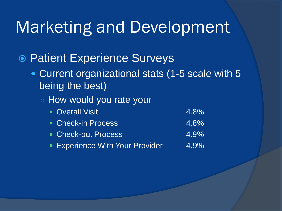### Marketing and Development

#### ● Patient Experience Surveys

- Current organizational stats (1-5 scale with 5 being the best)
	- How would you rate your
		- Overall Visit **4.8%** • Check-in Process 4.8% • Check-out Process 4.9%
		- Experience With Your Provider 4.9%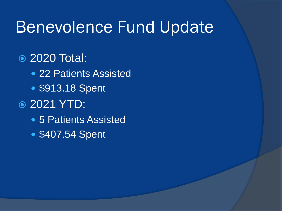### Benevolence Fund Update

#### 2020 Total:

- 22 Patients Assisted
- \$913.18 Spent

#### 2021 YTD:

- 5 Patients Assisted
- \$407.54 Spent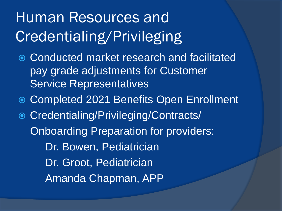## Human Resources and Credentialing/Privileging

- Conducted market research and facilitated pay grade adjustments for Customer Service Representatives
- Completed 2021 Benefits Open Enrollment
- Credentialing/Privileging/Contracts/ Onboarding Preparation for providers: Dr. Bowen, Pediatrician Dr. Groot, Pediatrician
	- Amanda Chapman, APP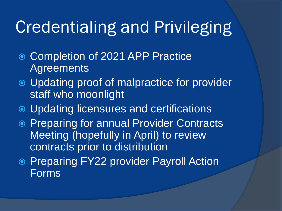## Credentialing and Privileging

- Completion of 2021 APP Practice **Agreements**
- Updating proof of malpractice for provider staff who moonlight
- Updating licensures and certifications
- **Preparing for annual Provider Contracts** Meeting (hopefully in April) to review contracts prior to distribution
- **Preparing FY22 provider Payroll Action** Forms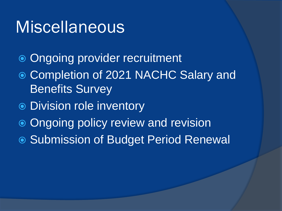#### Miscellaneous

- Ongoing provider recruitment
- Completion of 2021 NACHC Salary and Benefits Survey
- Division role inventory
- Ongoing policy review and revision
- Submission of Budget Period Renewal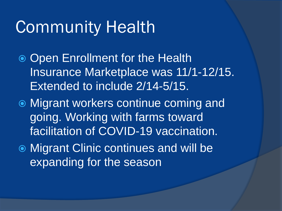### Community Health

- **Open Enrollment for the Health** Insurance Marketplace was 11/1-12/15. Extended to include 2/14-5/15.
- Migrant workers continue coming and going. Working with farms toward facilitation of COVID-19 vaccination.
- Migrant Clinic continues and will be expanding for the season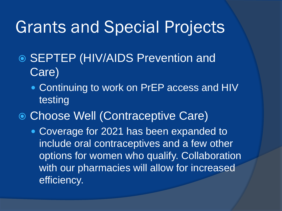### Grants and Special Projects

- **◎ SEPTEP (HIV/AIDS Prevention and** Care)
	- Continuing to work on PrEP access and HIV testing
- Choose Well (Contraceptive Care)
	- Coverage for 2021 has been expanded to include oral contraceptives and a few other options for women who qualify. Collaboration with our pharmacies will allow for increased efficiency.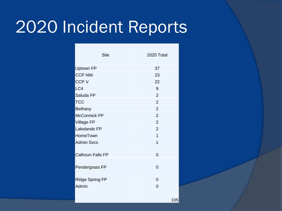## 2020 Incident Reports

| <b>Site</b>             | 2020 Total     |
|-------------------------|----------------|
|                         |                |
| <b>Uptown FP</b>        | 37             |
| <b>CCP NW</b>           | 23             |
| <b>CCPV</b>             | 22             |
| LC4                     | 9              |
| Saluda FP               | $\overline{2}$ |
| <b>TCC</b>              | $\overline{2}$ |
| <b>Bethany</b>          | $\overline{2}$ |
| <b>McCormick FP</b>     | $\overline{2}$ |
| <b>Village FP</b>       | $\overline{2}$ |
| <b>Lakelands FP</b>     | $\overline{2}$ |
| HomeTown                | 1              |
| <b>Admin Svcs</b>       | 1              |
| <b>Calhoun Falls FP</b> | $\overline{0}$ |
| Pendergrass FP          | $\overline{0}$ |
| <b>Ridge Spring FP</b>  | $\overline{0}$ |
| Admin                   | 0              |
|                         |                |
|                         | 105            |